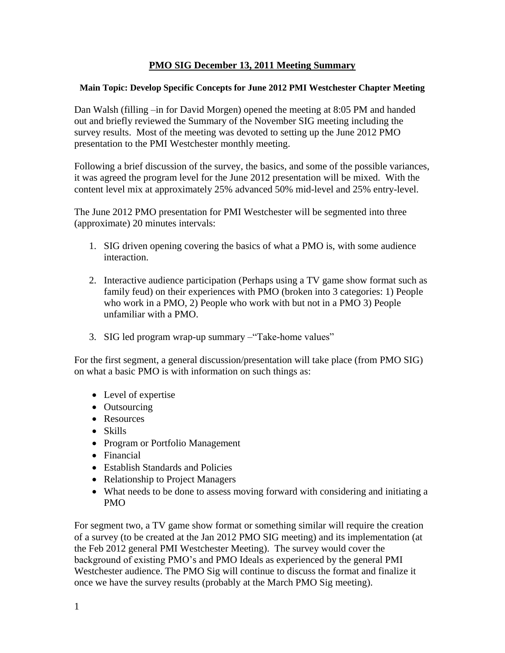## **PMO SIG December 13, 2011 Meeting Summary**

## **Main Topic: Develop Specific Concepts for June 2012 PMI Westchester Chapter Meeting**

Dan Walsh (filling –in for David Morgen) opened the meeting at 8:05 PM and handed out and briefly reviewed the Summary of the November SIG meeting including the survey results. Most of the meeting was devoted to setting up the June 2012 PMO presentation to the PMI Westchester monthly meeting.

Following a brief discussion of the survey, the basics, and some of the possible variances, it was agreed the program level for the June 2012 presentation will be mixed. With the content level mix at approximately 25% advanced 50% mid-level and 25% entry-level.

The June 2012 PMO presentation for PMI Westchester will be segmented into three (approximate) 20 minutes intervals:

- 1. SIG driven opening covering the basics of what a PMO is, with some audience interaction.
- 2. Interactive audience participation (Perhaps using a TV game show format such as family feud) on their experiences with PMO (broken into 3 categories: 1) People who work in a PMO, 2) People who work with but not in a PMO 3) People unfamiliar with a PMO.
- 3. SIG led program wrap-up summary –"Take-home values"

For the first segment, a general discussion/presentation will take place (from PMO SIG) on what a basic PMO is with information on such things as:

- Level of expertise
- Outsourcing
- Resources
- Skills
- Program or Portfolio Management
- Financial
- Establish Standards and Policies
- Relationship to Project Managers
- What needs to be done to assess moving forward with considering and initiating a PMO

For segment two, a TV game show format or something similar will require the creation of a survey (to be created at the Jan 2012 PMO SIG meeting) and its implementation (at the Feb 2012 general PMI Westchester Meeting). The survey would cover the background of existing PMO's and PMO Ideals as experienced by the general PMI Westchester audience. The PMO Sig will continue to discuss the format and finalize it once we have the survey results (probably at the March PMO Sig meeting).